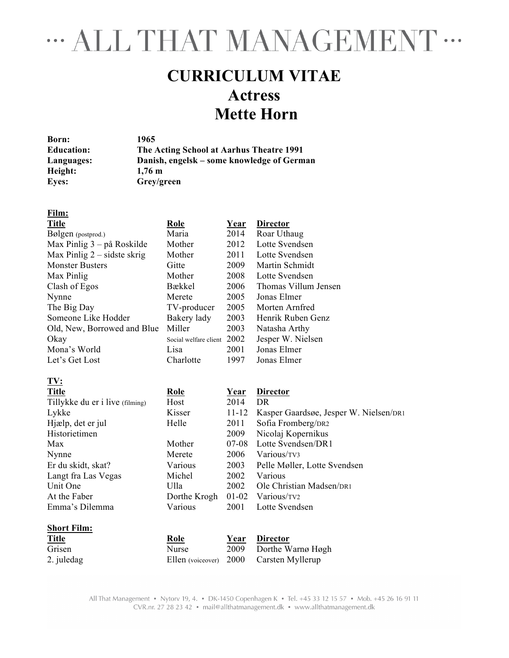## " ALL THAT MANAGEMENT "

## **CURRICULUM VITAE Actress Mette Horn**

**Born: 1965 Education: The Acting School at Aarhus Theatre 1991 Languages: Danish, engelsk – some knowledge of German Height: 1,76 m Eyes: Grey/green**

| <b>Role</b> | <u>Year</u> | <b>Director</b>                        |
|-------------|-------------|----------------------------------------|
| Maria       | 2014        | Roar Uthaug                            |
| Mother      | 2012        | Lotte Svendsen                         |
| Mother      | 2011        | Lotte Svendsen                         |
| Gitte       | 2009        | Martin Schmidt                         |
| Mother      | 2008        | Lotte Svendsen                         |
| Bækkel      | 2006        | Thomas Villum Jensen                   |
| Merete      | 2005        | Jonas Elmer                            |
| TV-producer | 2005        | Morten Arnfred                         |
| Bakery lady | 2003        | Henrik Ruben Genz                      |
| Miller      | 2003        | Natasha Arthy                          |
|             |             | Jesper W. Nielsen                      |
| Lisa        | 2001        | Jonas Elmer                            |
| Charlotte   | 1997        | Jonas Elmer                            |
|             |             |                                        |
| <b>Role</b> | <b>Year</b> | <b>Director</b>                        |
| Host        | 2014        | DR.                                    |
| Kisser      | 11-12       | Kasper Gaardsøe, Jesper W. Nielsen/DR1 |
| Helle       | 2011        | Sofia Fromberg/DR2                     |
|             | 2009        | Nicolaj Kopernikus                     |
|             |             | Social welfare client 2002             |

Langt fra Las Vegas Michel 2002 Various

**Short Film:**

**Film:**

Max Mother 07-08 Lotte Svendsen/DR1 Nynne Merete 2006 Various/TV3 Er du skidt, skat?<br>
Langt fra Las Vegas Michel 2002 Various<br>
Michel 2002 Various Unit One Ulla 2002 Ole Christian Madsen/pri At the Faber Dorthe Krogh 01-02 Various/TV2 Emma's Dilemma Various 2001 Lotte Svendsen

| <b>Title</b> | Role         | Year Director                           |
|--------------|--------------|-----------------------------------------|
| Grisen       | <b>Nurse</b> | 2009 Dorthe Warnø Høgh                  |
| 2. juledag   |              | Ellen (voiceover) 2000 Carsten Myllerup |